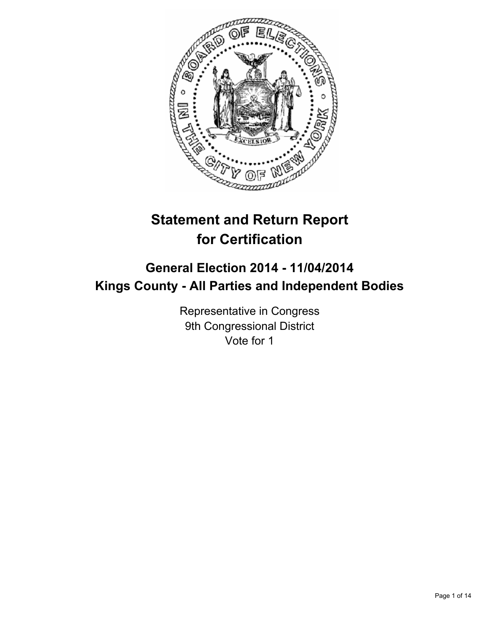

# **Statement and Return Report for Certification**

## **General Election 2014 - 11/04/2014 Kings County - All Parties and Independent Bodies**

Representative in Congress 9th Congressional District Vote for 1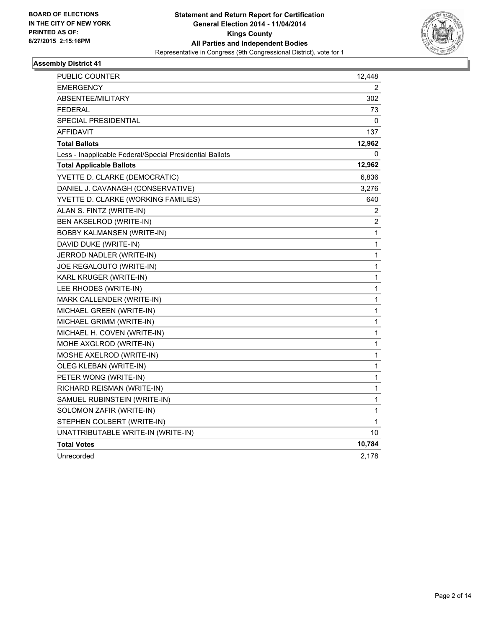

| PUBLIC COUNTER                                           | 12,448      |
|----------------------------------------------------------|-------------|
| <b>EMERGENCY</b>                                         | 2           |
| ABSENTEE/MILITARY                                        | 302         |
| <b>FEDERAL</b>                                           | 73          |
| <b>SPECIAL PRESIDENTIAL</b>                              | 0           |
| AFFIDAVIT                                                | 137         |
| <b>Total Ballots</b>                                     | 12,962      |
| Less - Inapplicable Federal/Special Presidential Ballots | 0           |
| <b>Total Applicable Ballots</b>                          | 12,962      |
| YVETTE D. CLARKE (DEMOCRATIC)                            | 6,836       |
| DANIEL J. CAVANAGH (CONSERVATIVE)                        | 3,276       |
| YVETTE D. CLARKE (WORKING FAMILIES)                      | 640         |
| ALAN S. FINTZ (WRITE-IN)                                 | 2           |
| BEN AKSELROD (WRITE-IN)                                  | 2           |
| BOBBY KALMANSEN (WRITE-IN)                               | $\mathbf 1$ |
| DAVID DUKE (WRITE-IN)                                    | $\mathbf 1$ |
| JERROD NADLER (WRITE-IN)                                 | 1           |
| JOE REGALOUTO (WRITE-IN)                                 | $\mathbf 1$ |
| KARL KRUGER (WRITE-IN)                                   | $\mathbf 1$ |
| LEE RHODES (WRITE-IN)                                    | 1           |
| MARK CALLENDER (WRITE-IN)                                | 1           |
| MICHAEL GREEN (WRITE-IN)                                 | 1           |
| MICHAEL GRIMM (WRITE-IN)                                 | 1           |
| MICHAEL H. COVEN (WRITE-IN)                              | 1           |
| MOHE AXGLROD (WRITE-IN)                                  | 1           |
| MOSHE AXELROD (WRITE-IN)                                 | 1           |
| OLEG KLEBAN (WRITE-IN)                                   | 1           |
| PETER WONG (WRITE-IN)                                    | 1           |
| RICHARD REISMAN (WRITE-IN)                               | 1           |
| SAMUEL RUBINSTEIN (WRITE-IN)                             | 1           |
| SOLOMON ZAFIR (WRITE-IN)                                 | 1           |
| STEPHEN COLBERT (WRITE-IN)                               | 1           |
| UNATTRIBUTABLE WRITE-IN (WRITE-IN)                       | 10          |
| <b>Total Votes</b>                                       | 10,784      |
| Unrecorded                                               | 2,178       |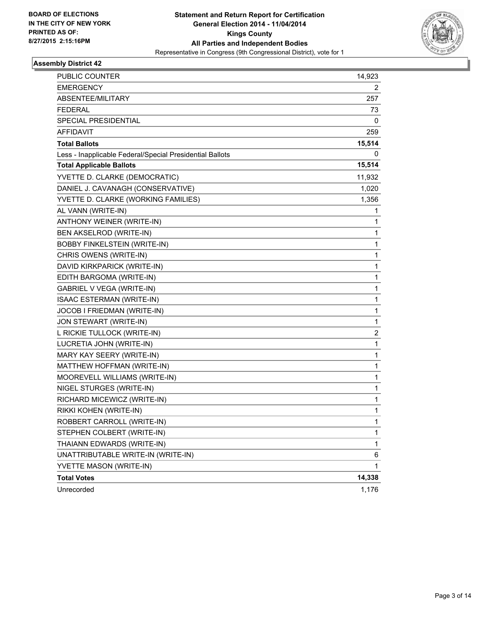

| PUBLIC COUNTER                                           | 14,923      |
|----------------------------------------------------------|-------------|
| <b>EMERGENCY</b>                                         | 2           |
| ABSENTEE/MILITARY                                        | 257         |
| <b>FEDERAL</b>                                           | 73          |
| SPECIAL PRESIDENTIAL                                     | 0           |
| AFFIDAVIT                                                | 259         |
| <b>Total Ballots</b>                                     | 15,514      |
| Less - Inapplicable Federal/Special Presidential Ballots | 0           |
| <b>Total Applicable Ballots</b>                          | 15,514      |
| YVETTE D. CLARKE (DEMOCRATIC)                            | 11,932      |
| DANIEL J. CAVANAGH (CONSERVATIVE)                        | 1,020       |
| YVETTE D. CLARKE (WORKING FAMILIES)                      | 1,356       |
| AL VANN (WRITE-IN)                                       | 1           |
| ANTHONY WEINER (WRITE-IN)                                | 1           |
| BEN AKSELROD (WRITE-IN)                                  | 1           |
| <b>BOBBY FINKELSTEIN (WRITE-IN)</b>                      | 1           |
| CHRIS OWENS (WRITE-IN)                                   | 1           |
| DAVID KIRKPARICK (WRITE-IN)                              | 1           |
| EDITH BARGOMA (WRITE-IN)                                 | $\mathbf 1$ |
| <b>GABRIEL V VEGA (WRITE-IN)</b>                         | $\mathbf 1$ |
| ISAAC ESTERMAN (WRITE-IN)                                | 1           |
| JOCOB I FRIEDMAN (WRITE-IN)                              | 1           |
| JON STEWART (WRITE-IN)                                   | 1           |
| L RICKIE TULLOCK (WRITE-IN)                              | 2           |
| LUCRETIA JOHN (WRITE-IN)                                 | 1           |
| MARY KAY SEERY (WRITE-IN)                                | $\mathbf 1$ |
| MATTHEW HOFFMAN (WRITE-IN)                               | 1           |
| MOOREVELL WILLIAMS (WRITE-IN)                            | 1           |
| NIGEL STURGES (WRITE-IN)                                 | 1           |
| RICHARD MICEWICZ (WRITE-IN)                              | 1           |
| RIKKI KOHEN (WRITE-IN)                                   | 1           |
| ROBBERT CARROLL (WRITE-IN)                               | 1           |
| STEPHEN COLBERT (WRITE-IN)                               | 1           |
| THAIANN EDWARDS (WRITE-IN)                               | 1           |
| UNATTRIBUTABLE WRITE-IN (WRITE-IN)                       | 6           |
| YVETTE MASON (WRITE-IN)                                  | 1           |
| <b>Total Votes</b>                                       | 14,338      |
| Unrecorded                                               | 1,176       |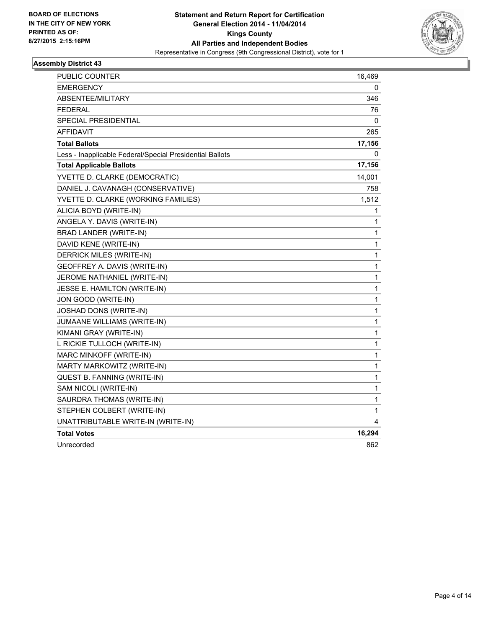

| PUBLIC COUNTER                                           | 16,469 |
|----------------------------------------------------------|--------|
| EMERGENCY                                                | 0      |
| ABSENTEE/MILITARY                                        | 346    |
| <b>FEDERAL</b>                                           | 76     |
| SPECIAL PRESIDENTIAL                                     | 0      |
| <b>AFFIDAVIT</b>                                         | 265    |
| <b>Total Ballots</b>                                     | 17,156 |
| Less - Inapplicable Federal/Special Presidential Ballots | 0      |
| <b>Total Applicable Ballots</b>                          | 17,156 |
| YVETTE D. CLARKE (DEMOCRATIC)                            | 14,001 |
| DANIEL J. CAVANAGH (CONSERVATIVE)                        | 758    |
| YVETTE D. CLARKE (WORKING FAMILIES)                      | 1,512  |
| ALICIA BOYD (WRITE-IN)                                   | 1      |
| ANGELA Y. DAVIS (WRITE-IN)                               | 1      |
| BRAD LANDER (WRITE-IN)                                   | 1      |
| DAVID KENE (WRITE-IN)                                    | 1      |
| DERRICK MILES (WRITE-IN)                                 | 1      |
| GEOFFREY A. DAVIS (WRITE-IN)                             | 1      |
| JEROME NATHANIEL (WRITE-IN)                              | 1      |
| JESSE E. HAMILTON (WRITE-IN)                             | 1      |
| JON GOOD (WRITE-IN)                                      | 1      |
| JOSHAD DONS (WRITE-IN)                                   | 1      |
| JUMAANE WILLIAMS (WRITE-IN)                              | 1      |
| KIMANI GRAY (WRITE-IN)                                   | 1      |
| L RICKIE TULLOCH (WRITE-IN)                              | 1      |
| MARC MINKOFF (WRITE-IN)                                  | 1      |
| MARTY MARKOWITZ (WRITE-IN)                               | 1      |
| QUEST B. FANNING (WRITE-IN)                              | 1      |
| SAM NICOLI (WRITE-IN)                                    | 1      |
| SAURDRA THOMAS (WRITE-IN)                                | 1      |
| STEPHEN COLBERT (WRITE-IN)                               | 1      |
| UNATTRIBUTABLE WRITE-IN (WRITE-IN)                       | 4      |
| <b>Total Votes</b>                                       | 16,294 |
| Unrecorded                                               | 862    |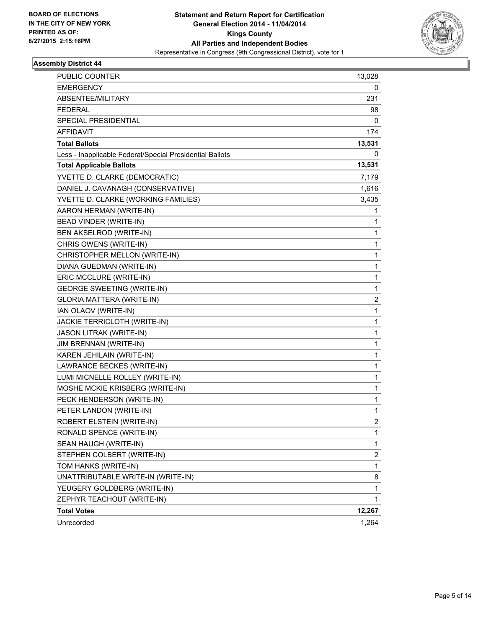

| <b>PUBLIC COUNTER</b>                                    | 13,028                  |
|----------------------------------------------------------|-------------------------|
| <b>EMERGENCY</b>                                         | 0                       |
| ABSENTEE/MILITARY                                        | 231                     |
| <b>FEDERAL</b>                                           | 98                      |
| <b>SPECIAL PRESIDENTIAL</b>                              | 0                       |
| AFFIDAVIT                                                | 174                     |
| <b>Total Ballots</b>                                     | 13,531                  |
| Less - Inapplicable Federal/Special Presidential Ballots | 0                       |
| <b>Total Applicable Ballots</b>                          | 13,531                  |
| YVETTE D. CLARKE (DEMOCRATIC)                            | 7,179                   |
| DANIEL J. CAVANAGH (CONSERVATIVE)                        | 1,616                   |
| YVETTE D. CLARKE (WORKING FAMILIES)                      | 3,435                   |
| AARON HERMAN (WRITE-IN)                                  | 1                       |
| BEAD VINDER (WRITE-IN)                                   | 1                       |
| BEN AKSELROD (WRITE-IN)                                  | 1                       |
| CHRIS OWENS (WRITE-IN)                                   | 1                       |
| CHRISTOPHER MELLON (WRITE-IN)                            | 1                       |
| DIANA GUEDMAN (WRITE-IN)                                 | 1                       |
| ERIC MCCLURE (WRITE-IN)                                  | $\mathbf{1}$            |
| <b>GEORGE SWEETING (WRITE-IN)</b>                        | 1                       |
| GLORIA MATTERA (WRITE-IN)                                | $\overline{c}$          |
| IAN OLAOV (WRITE-IN)                                     | 1                       |
| JACKIE TERRICLOTH (WRITE-IN)                             | 1                       |
| JASON LITRAK (WRITE-IN)                                  | 1                       |
| JIM BRENNAN (WRITE-IN)                                   | 1                       |
| KAREN JEHILAIN (WRITE-IN)                                | 1                       |
| LAWRANCE BECKES (WRITE-IN)                               | 1                       |
| LUMI MICNELLE ROLLEY (WRITE-IN)                          | 1                       |
| MOSHE MCKIE KRISBERG (WRITE-IN)                          | 1                       |
| PECK HENDERSON (WRITE-IN)                                | 1                       |
| PETER LANDON (WRITE-IN)                                  | 1                       |
| ROBERT ELSTEIN (WRITE-IN)                                | 2                       |
| RONALD SPENCE (WRITE-IN)                                 | 1                       |
| SEAN HAUGH (WRITE-IN)                                    | 1                       |
| STEPHEN COLBERT (WRITE-IN)                               | $\overline{\mathbf{c}}$ |
| TOM HANKS (WRITE-IN)                                     | 1                       |
| UNATTRIBUTABLE WRITE-IN (WRITE-IN)                       | 8                       |
| YEUGERY GOLDBERG (WRITE-IN)                              | 1                       |
| ZEPHYR TEACHOUT (WRITE-IN)                               | 1                       |
| <b>Total Votes</b>                                       | 12,267                  |
| Unrecorded                                               | 1,264                   |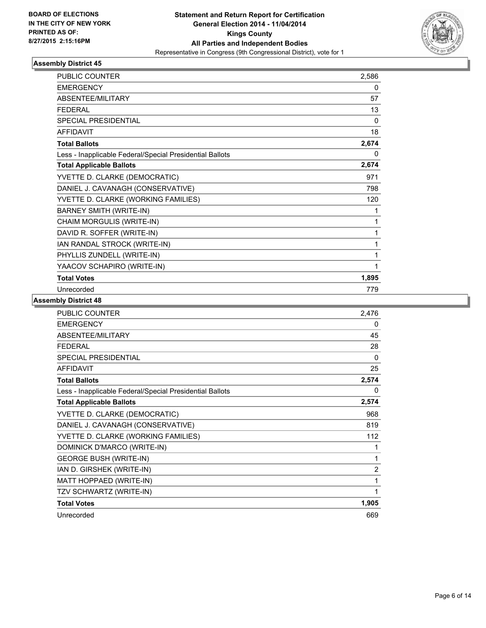

| <b>PUBLIC COUNTER</b>                                    | 2,586    |
|----------------------------------------------------------|----------|
| <b>EMERGENCY</b>                                         | 0        |
| ABSENTEE/MILITARY                                        | 57       |
| <b>FEDERAL</b>                                           | 13       |
| <b>SPECIAL PRESIDENTIAL</b>                              | $\Omega$ |
| <b>AFFIDAVIT</b>                                         | 18       |
| <b>Total Ballots</b>                                     | 2,674    |
| Less - Inapplicable Federal/Special Presidential Ballots | 0        |
| <b>Total Applicable Ballots</b>                          | 2,674    |
| YVETTE D. CLARKE (DEMOCRATIC)                            | 971      |
| DANIEL J. CAVANAGH (CONSERVATIVE)                        | 798      |
| YVETTE D. CLARKE (WORKING FAMILIES)                      | 120      |
| <b>BARNEY SMITH (WRITE-IN)</b>                           | 1        |
| CHAIM MORGULIS (WRITE-IN)                                | 1        |
| DAVID R. SOFFER (WRITE-IN)                               | 1        |
| IAN RANDAL STROCK (WRITE-IN)                             | 1        |
| PHYLLIS ZUNDELL (WRITE-IN)                               | 1        |
| YAACOV SCHAPIRO (WRITE-IN)                               | 1        |
| <b>Total Votes</b>                                       | 1,895    |
| Unrecorded                                               | 779      |

| <b>PUBLIC COUNTER</b>                                    | 2,476          |
|----------------------------------------------------------|----------------|
| <b>EMERGENCY</b>                                         | 0              |
| <b>ABSENTEE/MILITARY</b>                                 | 45             |
| <b>FFDFRAL</b>                                           | 28             |
| <b>SPECIAL PRESIDENTIAL</b>                              | $\Omega$       |
| <b>AFFIDAVIT</b>                                         | 25             |
| <b>Total Ballots</b>                                     | 2,574          |
| Less - Inapplicable Federal/Special Presidential Ballots | 0              |
| <b>Total Applicable Ballots</b>                          | 2,574          |
| YVETTE D. CLARKE (DEMOCRATIC)                            | 968            |
| DANIEL J. CAVANAGH (CONSERVATIVE)                        | 819            |
| YVETTE D. CLARKE (WORKING FAMILIES)                      | 112            |
| DOMINICK D'MARCO (WRITE-IN)                              | 1              |
| <b>GEORGE BUSH (WRITE-IN)</b>                            | 1              |
| IAN D. GIRSHEK (WRITE-IN)                                | $\overline{c}$ |
| MATT HOPPAED (WRITE-IN)                                  | 1              |
| TZV SCHWARTZ (WRITE-IN)                                  | 1              |
| <b>Total Votes</b>                                       | 1,905          |
| Unrecorded                                               | 669            |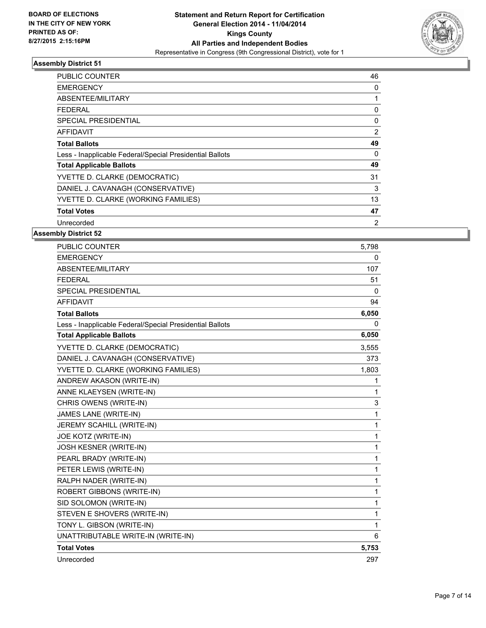

| PUBLIC COUNTER                                           | 46       |
|----------------------------------------------------------|----------|
| <b>EMERGENCY</b>                                         | 0        |
| ABSENTEE/MILITARY                                        |          |
| <b>FEDERAL</b>                                           | 0        |
| SPECIAL PRESIDENTIAL                                     | $\Omega$ |
| <b>AFFIDAVIT</b>                                         | 2        |
| <b>Total Ballots</b>                                     | 49       |
| Less - Inapplicable Federal/Special Presidential Ballots | 0        |
| <b>Total Applicable Ballots</b>                          | 49       |
| YVETTE D. CLARKE (DEMOCRATIC)                            | 31       |
| DANIEL J. CAVANAGH (CONSERVATIVE)                        | 3        |
| YVETTE D. CLARKE (WORKING FAMILIES)                      | 13       |
| <b>Total Votes</b>                                       | 47       |
| Unrecorded                                               | 2        |

| <b>PUBLIC COUNTER</b>                                    | 5,798 |
|----------------------------------------------------------|-------|
| <b>EMERGENCY</b>                                         | 0     |
| ABSENTEE/MILITARY                                        | 107   |
| <b>FEDERAL</b>                                           | 51    |
| <b>SPECIAL PRESIDENTIAL</b>                              | 0     |
| <b>AFFIDAVIT</b>                                         | 94    |
| <b>Total Ballots</b>                                     | 6,050 |
| Less - Inapplicable Federal/Special Presidential Ballots | 0     |
| <b>Total Applicable Ballots</b>                          | 6,050 |
| YVETTE D. CLARKE (DEMOCRATIC)                            | 3,555 |
| DANIEL J. CAVANAGH (CONSERVATIVE)                        | 373   |
| YVETTE D. CLARKE (WORKING FAMILIES)                      | 1,803 |
| ANDREW AKASON (WRITE-IN)                                 | 1     |
| ANNE KLAEYSEN (WRITE-IN)                                 | 1     |
| CHRIS OWENS (WRITE-IN)                                   | 3     |
| JAMES LANE (WRITE-IN)                                    | 1     |
| JEREMY SCAHILL (WRITE-IN)                                | 1     |
| JOE KOTZ (WRITE-IN)                                      | 1     |
| JOSH KESNER (WRITE-IN)                                   | 1     |
| PEARL BRADY (WRITE-IN)                                   | 1     |
| PETER LEWIS (WRITE-IN)                                   | 1     |
| RALPH NADER (WRITE-IN)                                   | 1     |
| ROBERT GIBBONS (WRITE-IN)                                | 1     |
| SID SOLOMON (WRITE-IN)                                   | 1     |
| STEVEN E SHOVERS (WRITE-IN)                              | 1     |
| TONY L. GIBSON (WRITE-IN)                                | 1     |
| UNATTRIBUTABLE WRITE-IN (WRITE-IN)                       | 6     |
| <b>Total Votes</b>                                       | 5,753 |
| Unrecorded                                               | 297   |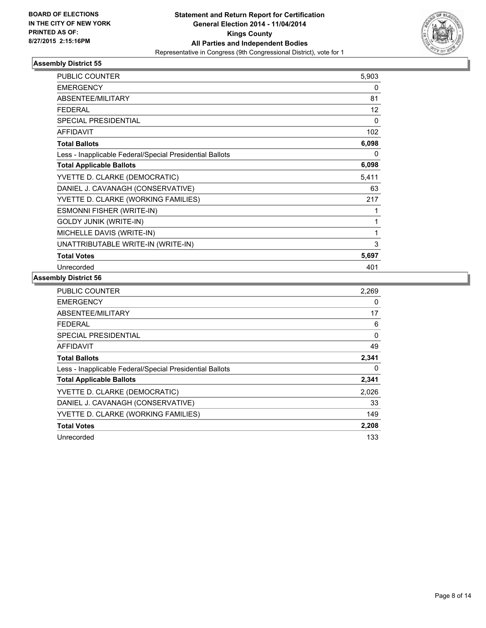

| <b>PUBLIC COUNTER</b>                                    | 5,903    |
|----------------------------------------------------------|----------|
| <b>EMERGENCY</b>                                         | 0        |
| ABSENTEE/MILITARY                                        | 81       |
| <b>FEDERAL</b>                                           | 12       |
| <b>SPECIAL PRESIDENTIAL</b>                              | $\Omega$ |
| <b>AFFIDAVIT</b>                                         | 102      |
| <b>Total Ballots</b>                                     | 6,098    |
| Less - Inapplicable Federal/Special Presidential Ballots | 0        |
| <b>Total Applicable Ballots</b>                          | 6,098    |
| YVETTE D. CLARKE (DEMOCRATIC)                            | 5,411    |
| DANIEL J. CAVANAGH (CONSERVATIVE)                        | 63       |
| YVETTE D. CLARKE (WORKING FAMILIES)                      | 217      |
| ESMONNI FISHER (WRITE-IN)                                | 1        |
| <b>GOLDY JUNIK (WRITE-IN)</b>                            | 1        |
| MICHELLE DAVIS (WRITE-IN)                                | 1        |
| UNATTRIBUTABLE WRITE-IN (WRITE-IN)                       | 3        |
| <b>Total Votes</b>                                       | 5,697    |
| Unrecorded                                               | 401      |

| <b>PUBLIC COUNTER</b>                                    | 2,269 |
|----------------------------------------------------------|-------|
| <b>EMERGENCY</b>                                         | 0     |
| ABSENTEE/MILITARY                                        | 17    |
| <b>FEDERAL</b>                                           | 6     |
| <b>SPECIAL PRESIDENTIAL</b>                              | 0     |
| <b>AFFIDAVIT</b>                                         | 49    |
| <b>Total Ballots</b>                                     | 2,341 |
| Less - Inapplicable Federal/Special Presidential Ballots | 0     |
| <b>Total Applicable Ballots</b>                          | 2,341 |
| YVETTE D. CLARKE (DEMOCRATIC)                            | 2,026 |
| DANIEL J. CAVANAGH (CONSERVATIVE)                        | 33    |
| YVETTE D. CLARKE (WORKING FAMILIES)                      | 149   |
| <b>Total Votes</b>                                       | 2,208 |
| Unrecorded                                               | 133   |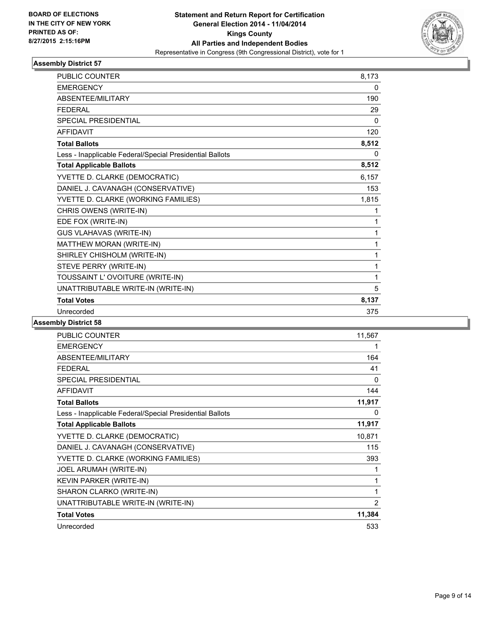

| PUBLIC COUNTER                                           | 8,173 |
|----------------------------------------------------------|-------|
| <b>EMERGENCY</b>                                         | 0     |
| ABSENTEE/MILITARY                                        | 190   |
| <b>FEDERAL</b>                                           | 29    |
| <b>SPECIAL PRESIDENTIAL</b>                              | 0     |
| <b>AFFIDAVIT</b>                                         | 120   |
| <b>Total Ballots</b>                                     | 8,512 |
| Less - Inapplicable Federal/Special Presidential Ballots | 0     |
| <b>Total Applicable Ballots</b>                          | 8,512 |
| YVETTE D. CLARKE (DEMOCRATIC)                            | 6,157 |
| DANIEL J. CAVANAGH (CONSERVATIVE)                        | 153   |
| YVETTE D. CLARKE (WORKING FAMILIES)                      | 1,815 |
| CHRIS OWENS (WRITE-IN)                                   | 1     |
| EDE FOX (WRITE-IN)                                       | 1     |
| <b>GUS VLAHAVAS (WRITE-IN)</b>                           | 1     |
| MATTHEW MORAN (WRITE-IN)                                 | 1     |
| SHIRLEY CHISHOLM (WRITE-IN)                              | 1     |
| STEVE PERRY (WRITE-IN)                                   | 1     |
| TOUSSAINT L'OVOITURE (WRITE-IN)                          | 1     |
| UNATTRIBUTABLE WRITE-IN (WRITE-IN)                       | 5     |
| <b>Total Votes</b>                                       | 8,137 |
| Unrecorded                                               | 375   |

| <b>PUBLIC COUNTER</b>                                    | 11,567 |
|----------------------------------------------------------|--------|
| <b>EMERGENCY</b>                                         | 1      |
| ABSENTEE/MILITARY                                        | 164    |
| <b>FEDERAL</b>                                           | 41     |
| <b>SPECIAL PRESIDENTIAL</b>                              | 0      |
| <b>AFFIDAVIT</b>                                         | 144    |
| <b>Total Ballots</b>                                     | 11,917 |
| Less - Inapplicable Federal/Special Presidential Ballots | 0      |
| <b>Total Applicable Ballots</b>                          | 11,917 |
| YVETTE D. CLARKE (DEMOCRATIC)                            | 10,871 |
| DANIEL J. CAVANAGH (CONSERVATIVE)                        | 115    |
| YVETTE D. CLARKE (WORKING FAMILIES)                      | 393    |
| JOEL ARUMAH (WRITE-IN)                                   | 1      |
| <b>KEVIN PARKER (WRITE-IN)</b>                           | 1      |
| SHARON CLARKO (WRITE-IN)                                 | 1      |
| UNATTRIBUTABLE WRITE-IN (WRITE-IN)                       | 2      |
| <b>Total Votes</b>                                       | 11,384 |
| Unrecorded                                               | 533    |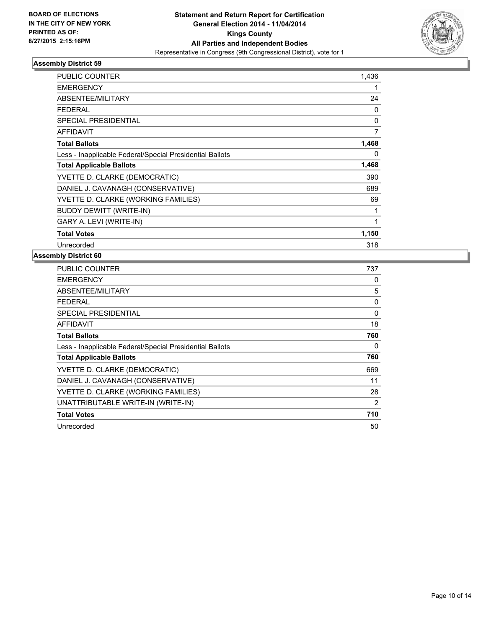

| <b>PUBLIC COUNTER</b>                                    | 1,436 |
|----------------------------------------------------------|-------|
| <b>EMERGENCY</b>                                         |       |
| ABSENTEE/MILITARY                                        | 24    |
| <b>FEDERAL</b>                                           | 0     |
| <b>SPECIAL PRESIDENTIAL</b>                              | 0     |
| <b>AFFIDAVIT</b>                                         | 7     |
| <b>Total Ballots</b>                                     | 1,468 |
| Less - Inapplicable Federal/Special Presidential Ballots | 0     |
| <b>Total Applicable Ballots</b>                          | 1,468 |
| YVETTE D. CLARKE (DEMOCRATIC)                            | 390   |
| DANIEL J. CAVANAGH (CONSERVATIVE)                        | 689   |
| YVETTE D. CLARKE (WORKING FAMILIES)                      | 69    |
| <b>BUDDY DEWITT (WRITE-IN)</b>                           | 1     |
| GARY A. LEVI (WRITE-IN)                                  | 1     |
| <b>Total Votes</b>                                       | 1,150 |
| Unrecorded                                               | 318   |

| <b>PUBLIC COUNTER</b>                                    | 737 |
|----------------------------------------------------------|-----|
| <b>EMERGENCY</b>                                         | 0   |
| ABSENTEE/MILITARY                                        | 5   |
| <b>FEDERAL</b>                                           | 0   |
| SPECIAL PRESIDENTIAL                                     | 0   |
| AFFIDAVIT                                                | 18  |
| <b>Total Ballots</b>                                     | 760 |
| Less - Inapplicable Federal/Special Presidential Ballots | 0   |
| <b>Total Applicable Ballots</b>                          | 760 |
| YVETTE D. CLARKE (DEMOCRATIC)                            | 669 |
| DANIEL J. CAVANAGH (CONSERVATIVE)                        | 11  |
| YVETTE D. CLARKE (WORKING FAMILIES)                      | 28  |
| UNATTRIBUTABLE WRITE-IN (WRITE-IN)                       | 2   |
| <b>Total Votes</b>                                       | 710 |
| Unrecorded                                               | 50  |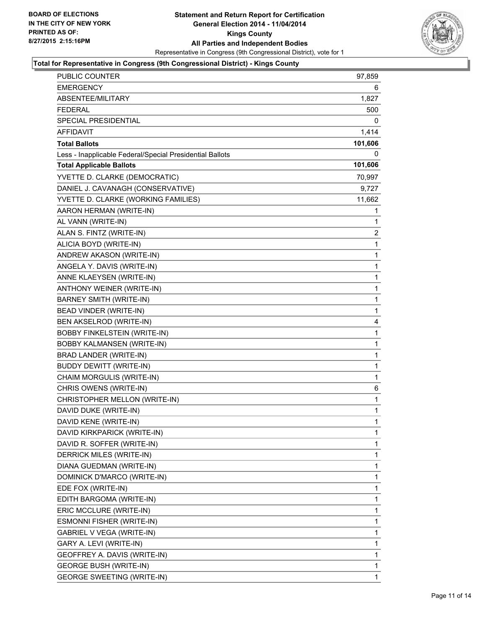

## **Total for Representative in Congress (9th Congressional District) - Kings County**

| <b>PUBLIC COUNTER</b>                                    | 97,859       |
|----------------------------------------------------------|--------------|
| <b>EMERGENCY</b>                                         | 6            |
| ABSENTEE/MILITARY                                        | 1,827        |
| <b>FEDERAL</b>                                           | 500          |
| SPECIAL PRESIDENTIAL                                     | 0            |
| <b>AFFIDAVIT</b>                                         | 1,414        |
| <b>Total Ballots</b>                                     | 101,606      |
| Less - Inapplicable Federal/Special Presidential Ballots | 0            |
| <b>Total Applicable Ballots</b>                          | 101,606      |
| YVETTE D. CLARKE (DEMOCRATIC)                            | 70,997       |
| DANIEL J. CAVANAGH (CONSERVATIVE)                        | 9,727        |
| YVETTE D. CLARKE (WORKING FAMILIES)                      | 11,662       |
| AARON HERMAN (WRITE-IN)                                  | 1            |
| AL VANN (WRITE-IN)                                       | 1            |
| ALAN S. FINTZ (WRITE-IN)                                 | 2            |
| ALICIA BOYD (WRITE-IN)                                   | 1            |
| ANDREW AKASON (WRITE-IN)                                 | 1            |
| ANGELA Y. DAVIS (WRITE-IN)                               | 1            |
| ANNE KLAEYSEN (WRITE-IN)                                 | 1            |
| ANTHONY WEINER (WRITE-IN)                                | 1            |
| BARNEY SMITH (WRITE-IN)                                  | $\mathbf{1}$ |
| BEAD VINDER (WRITE-IN)                                   | 1            |
| BEN AKSELROD (WRITE-IN)                                  | 4            |
| <b>BOBBY FINKELSTEIN (WRITE-IN)</b>                      | $\mathbf{1}$ |
| BOBBY KALMANSEN (WRITE-IN)                               | 1            |
| BRAD LANDER (WRITE-IN)                                   | 1            |
| <b>BUDDY DEWITT (WRITE-IN)</b>                           | 1            |
| CHAIM MORGULIS (WRITE-IN)                                | 1            |
| CHRIS OWENS (WRITE-IN)                                   | 6            |
| CHRISTOPHER MELLON (WRITE-IN)                            | 1            |
| DAVID DUKE (WRITE-IN)                                    | 1            |
| DAVID KENE (WRITE-IN)                                    | 1            |
| DAVID KIRKPARICK (WRITE-IN)                              | 1            |
| DAVID R. SOFFER (WRITE-IN)                               | 1            |
| DERRICK MILES (WRITE-IN)                                 | 1            |
| DIANA GUEDMAN (WRITE-IN)                                 | 1            |
| DOMINICK D'MARCO (WRITE-IN)                              | 1            |
| EDE FOX (WRITE-IN)                                       | 1            |
| EDITH BARGOMA (WRITE-IN)                                 | 1            |
| ERIC MCCLURE (WRITE-IN)                                  | 1            |
| ESMONNI FISHER (WRITE-IN)                                | 1            |
| GABRIEL V VEGA (WRITE-IN)                                | 1            |
| GARY A. LEVI (WRITE-IN)                                  | 1            |
| GEOFFREY A. DAVIS (WRITE-IN)                             | 1            |
| <b>GEORGE BUSH (WRITE-IN)</b>                            | 1            |
| <b>GEORGE SWEETING (WRITE-IN)</b>                        | 1            |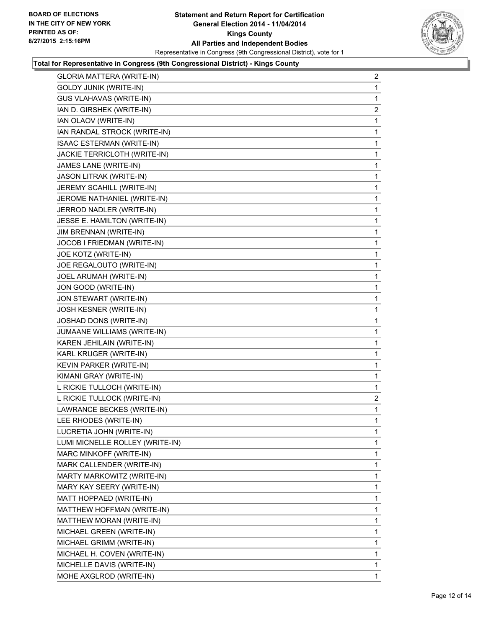

## **Total for Representative in Congress (9th Congressional District) - Kings County**

| 1<br>1<br>$\overline{2}$<br>1<br>1<br>1<br>1<br>1<br>1<br>1<br>1<br>1<br>1<br>1<br>1<br>1 |
|-------------------------------------------------------------------------------------------|
|                                                                                           |
|                                                                                           |
|                                                                                           |
|                                                                                           |
|                                                                                           |
|                                                                                           |
|                                                                                           |
|                                                                                           |
|                                                                                           |
|                                                                                           |
|                                                                                           |
|                                                                                           |
|                                                                                           |
|                                                                                           |
|                                                                                           |
|                                                                                           |
| 1                                                                                         |
| 1                                                                                         |
| 1                                                                                         |
| 1                                                                                         |
| 1                                                                                         |
| 1                                                                                         |
| 1                                                                                         |
| 1                                                                                         |
| 1                                                                                         |
| 1                                                                                         |
| 1                                                                                         |
| 1                                                                                         |
|                                                                                           |
| $\overline{2}$                                                                            |
| 1                                                                                         |
| 1                                                                                         |
| 1                                                                                         |
| 1                                                                                         |
| 1                                                                                         |
| 1                                                                                         |
| 1                                                                                         |
| 1                                                                                         |
| 1                                                                                         |
| 1                                                                                         |
| 1                                                                                         |
| 1                                                                                         |
| 1                                                                                         |
| $\mathbf{1}$                                                                              |
| 1                                                                                         |
|                                                                                           |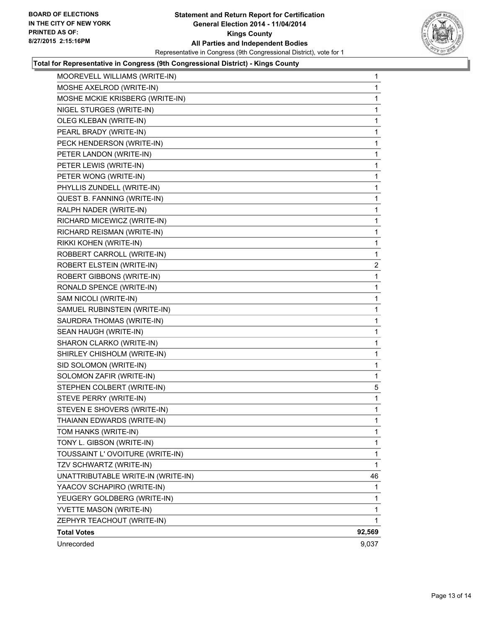

## **Total for Representative in Congress (9th Congressional District) - Kings County**

| MOOREVELL WILLIAMS (WRITE-IN)      | 1            |
|------------------------------------|--------------|
| MOSHE AXELROD (WRITE-IN)           | 1            |
| MOSHE MCKIE KRISBERG (WRITE-IN)    | 1            |
| NIGEL STURGES (WRITE-IN)           | $\mathbf{1}$ |
| OLEG KLEBAN (WRITE-IN)             | 1            |
| PEARL BRADY (WRITE-IN)             | 1            |
| PECK HENDERSON (WRITE-IN)          | 1            |
| PETER LANDON (WRITE-IN)            | 1            |
| PETER LEWIS (WRITE-IN)             | 1            |
| PETER WONG (WRITE-IN)              | $\mathbf{1}$ |
| PHYLLIS ZUNDELL (WRITE-IN)         | 1            |
| QUEST B. FANNING (WRITE-IN)        | 1            |
| RALPH NADER (WRITE-IN)             | 1            |
| RICHARD MICEWICZ (WRITE-IN)        | 1            |
| RICHARD REISMAN (WRITE-IN)         | 1            |
| RIKKI KOHEN (WRITE-IN)             | $\mathbf{1}$ |
| ROBBERT CARROLL (WRITE-IN)         | 1            |
| ROBERT ELSTEIN (WRITE-IN)          | $\mathbf{2}$ |
| ROBERT GIBBONS (WRITE-IN)          | 1            |
| RONALD SPENCE (WRITE-IN)           | 1            |
| SAM NICOLI (WRITE-IN)              | 1            |
| SAMUEL RUBINSTEIN (WRITE-IN)       | $\mathbf{1}$ |
| SAURDRA THOMAS (WRITE-IN)          | 1            |
| SEAN HAUGH (WRITE-IN)              | 1            |
| SHARON CLARKO (WRITE-IN)           | 1            |
| SHIRLEY CHISHOLM (WRITE-IN)        | 1            |
| SID SOLOMON (WRITE-IN)             | 1            |
| SOLOMON ZAFIR (WRITE-IN)           | 1            |
| STEPHEN COLBERT (WRITE-IN)         | 5            |
| STEVE PERRY (WRITE-IN)             | 1            |
| STEVEN E SHOVERS (WRITE-IN)        | 1            |
| THAIANN EDWARDS (WRITE-IN)         | 1            |
| TOM HANKS (WRITE-IN)               | 1            |
| TONY L. GIBSON (WRITE-IN)          | 1            |
| TOUSSAINT L'OVOITURE (WRITE-IN)    | 1            |
| TZV SCHWARTZ (WRITE-IN)            | 1            |
| UNATTRIBUTABLE WRITE-IN (WRITE-IN) | 46           |
| YAACOV SCHAPIRO (WRITE-IN)         | 1            |
| YEUGERY GOLDBERG (WRITE-IN)        | 1            |
| YVETTE MASON (WRITE-IN)            | 1            |
| ZEPHYR TEACHOUT (WRITE-IN)         | 1            |
| <b>Total Votes</b>                 | 92,569       |
| Unrecorded                         | 9,037        |